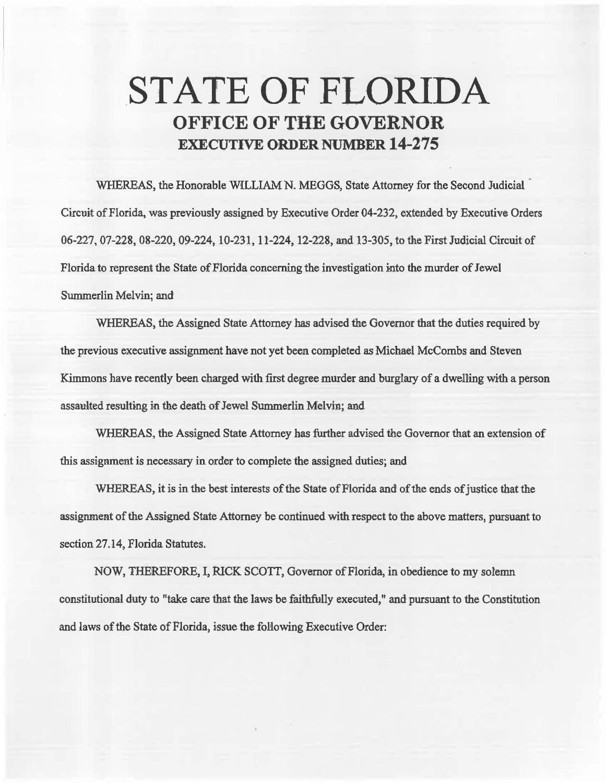## .STATE OF FLORIDA OFFICE OF THE GOVERNOR EXECUTIVE ORDER NUMBER 14-275

WHEREAS, the Honorable WILLIAM N. MEGGS, State Attorney for the Second Judicial Circuit of Florida, was previously assigned by Executive Order 04-232, extended by Executive Orders 06-227, 07-228, 08-220, 09-224, 10-231, 11-224, 12-228, and 13-305, to the First Judicial Circuit of Florida to represent the State of Florida concerning the investigation into the murder of Jewel Summerlin Melvin; and

WHEREAS, the Assigned State Attorney has advised the Governor that the duties required by the previous executive assignment have not yet been. completed as Michael McCombs and Steven Kimmons have recently been charged with first degree murder and burglary of a dwelling with a person assaulted resulting in the death of Jewel Summerlin Melvin; and

WHEREAS, the Assigned State Attorney has further advised the Governor that an extension of this assignment is necessary in order to complete the assigned duties; and

WHEREAS, it is in the best interests of the State of Florida and of the ends of justice that the assignment of the Assigned State Attorney be continued with respect to the above matters, pursuant to section 27.14, Florida Statutes.

NOW, THEREFORE, I, RICK SCOTI, Governor of Florida, in obedience to my solemn constitutional duty to "take care that the laws be faithfully execated," and pursuant to the Constitution and laws of the State of Florida, issue the following Executive Order: